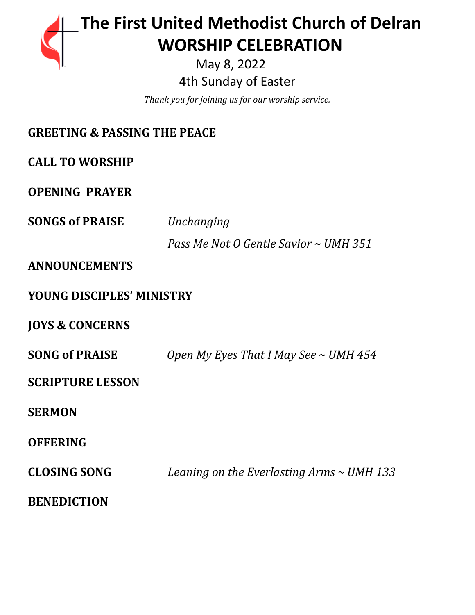# **The First United Methodist Church of Delran …… … WORSHIP CELEBRATION** May 8, 2022

4th Sunday of Easter

*Thank you for joining us for our worship service.*

| <b>GREETING &amp; PASSING THE PEACE</b> |                                                |
|-----------------------------------------|------------------------------------------------|
| <b>CALL TO WORSHIP</b>                  |                                                |
| <b>OPENING PRAYER</b>                   |                                                |
| <b>SONGS of PRAISE</b>                  | Unchanging                                     |
|                                         | Pass Me Not O Gentle Savior ~ UMH 351          |
| <b>ANNOUNCEMENTS</b>                    |                                                |
| <b>YOUNG DISCIPLES' MINISTRY</b>        |                                                |
| <b>JOYS &amp; CONCERNS</b>              |                                                |
| <b>SONG of PRAISE</b>                   | Open My Eyes That I May See $\sim$ UMH 454     |
| <b>SCRIPTURE LESSON</b>                 |                                                |
| <b>SERMON</b>                           |                                                |
| <b>OFFERING</b>                         |                                                |
| <b>CLOSING SONG</b>                     | Leaning on the Everlasting Arms $\sim$ UMH 133 |
| <b>BENEDICTION</b>                      |                                                |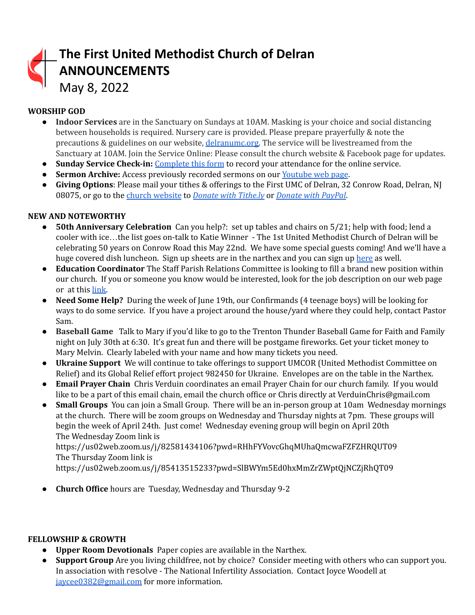| The First United Methodist Church of Delran<br>ANNOUNCEMENTS<br>May 8, 2022 |
|-----------------------------------------------------------------------------|
|                                                                             |

## **WORSHIP GOD**

- **Indoor Services** are in the Sanctuary on Sundays at 10AM. Masking is your choice and social distancing between households is required. Nursery care is provided. Please prepare prayerfully & note the precautions & guidelines on our website, [delranumc.org.](http://www.delranumc.org) The service will be livestreamed from the Sanctuary at 10AM. Join the Service Online: Please consult the church website & Facebook page for updates.
- **Sunday Service Check-in:** [Complete](http://www.delranumc.org/checkin) this form to record your attendance for the online service.
- **● Sermon Archive:** Access previously recorded sermons on our [Youtube](https://www.youtube.com/results?search_query=delran+first+umc+channel) web page.
- **Giving Options**: Please mail your tithes & offerings to the First UMC of Delran, 32 Conrow Road, Delran, NJ 08075, or go to the church [website](http://www.delranumc.org) to *Donate with [Tithe.ly](https://tithe.ly/give?c=1379451)* or *[Donate](https://www.paypal.com/donate/?token=JgyQQyCzJSzuWb-4M_kVuUa8ORCkKdbhPebT-DwrySzFpiafxE6LsZCirp50sAsR0jT_60&country.x=US&locale.x=) with PayPal*.

### **NEW AND NOTEWORTHY**

- **● 50th Anniversary Celebration** Can you help?: set up tables and chairs on 5/21; help with food; lend a cooler with ice…the list goes on-talk to Katie Winner - The 1st United Methodist Church of Delran will be celebrating 50 years on Conrow Road this May 22nd. We have some special guests coming! And we'll have a huge covered dish luncheon. Sign up sheets are in the narthex and you can sign up [here](https://www.perfectpotluck.com/DWLN5591) as well.
- **● Education Coordinator** The Staff Parish Relations Committee is looking to fill a brand new position within our church. If you or someone you know would be interested, look for the job description on our web page or at this [link.](http://delranumc.org/staff)
- **Need Some Help?** During the week of June 19th, our Confirmands (4 teenage boys) will be looking for ways to do some service. If you have a project around the house/yard where they could help, contact Pastor Sam.
- **Baseball Game** Talk to Mary if you'd like to go to the Trenton Thunder Baseball Game for Faith and Family night on July 30th at 6:30. It's great fun and there will be postgame fireworks. Get your ticket money to Mary Melvin. Clearly labeled with your name and how many tickets you need.
- **Ukraine Support** We will continue to take offerings to support UMCOR (United Methodist Committee on Relief) and its Global Relief effort project 982450 for Ukraine. Envelopes are on the table in the Narthex.
- **● Email Prayer Chain** Chris Verduin coordinates an email Prayer Chain for our church family. If you would like to be a part of this email chain, email the church office or Chris directly at VerduinChris@gmail.com
- **● Small Groups** You can join a Small Group. There will be an in-person group at 10am Wednesday mornings at the church. There will be zoom groups on Wednesday and Thursday nights at 7pm. These groups will begin the week of April 24th. Just come! Wednesday evening group will begin on April 20th The Wednesday Zoom link is

https://us02web.zoom.us/j/82581434106?pwd=RHhFYVovcGhqMUhaQmcwaFZFZHRQUT09 The Thursday Zoom link is

https://us02web.zoom.us/j/85413515233?pwd=SlBWYm5Ed0hxMmZrZWptQjNCZjRhQT09

● **Church Office** hours are Tuesday, Wednesday and Thursday 9-2

#### **FELLOWSHIP & GROWTH**

- **Upper Room Devotionals** Paper copies are available in the Narthex.
- **Support Group** Are you living childfree, not by choice? Consider meeting with others who can support you. In association with resolve - The National Infertility Association. Contact Joyce Woodell at [jaycee0382@gmail.com](mailto:jaycee0382@gmail.com) for more information.